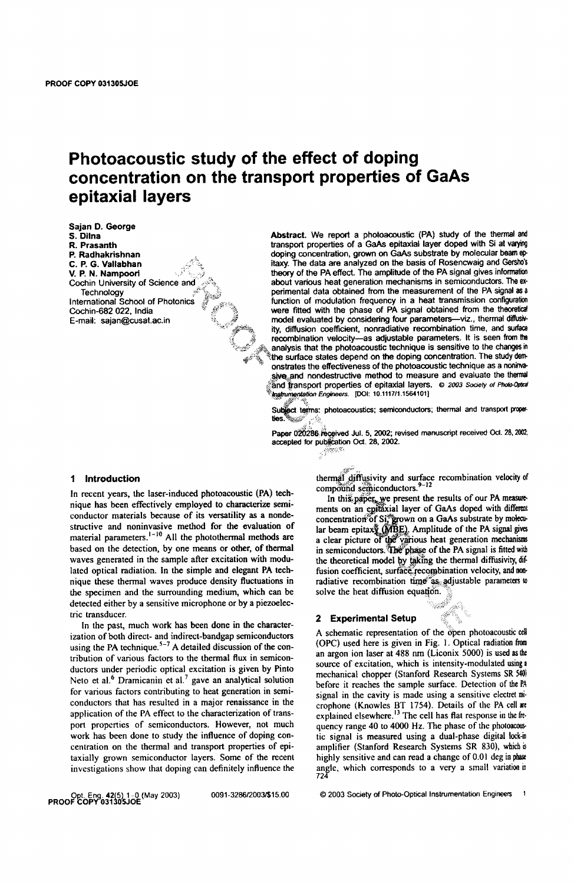# **Photoacoustic study of the effect of doping concentration on the transport properties of GaAs epitaxial layers**

-.~~.

Sajan D. George S.Dilna R. Prasanth P. Radhakrishnan C. P. G. Vallabhan V. P. N. Nampoori Cochin University of Science and **Technology** International School of Photonics Cochin-682 022, India

Abstract. We report a photoacoustic (PA) study of the thermal and transport properties of a GaAs epitaxial layer doped with SI at varying doping concentration, grown on GaAs substrate by molecular beam epitaxy. The data are analyzed on the basis of Rosencwaig and Gersho's theory of the PA effect. The amplitude of the PA signal gives information about various heat generation mechanisms in semiconductors. The experimental data obtained from the measurement of the PA signal as a function of modulation frequency in a heat transmission configuration were fitted with the phase of PA signal obtained from the theoretical E-mail: sajan@cusat.ac.in  $\ddot{\ddot{\theta}}$  model evaluated by considering four parameters-viz., thermal diffusivity, diffusion coefficient, nonradiative recombination time, and surface recombination velocity-as adjustable parameters. It is seen from the analysis that the photoacoustic technique is sensitive to the changes in the surface states depend on the doping concentration. The study demonstrates the effectiveness of the photoacoustic technique as a noninvasive and nondestructive method to measure and evaluate the thermal and transport properties of epitaxial layers. © 2003 Society of Photo-Opter Instrumentation Engineers. [DOI: 10.1117/1.1564101]

> Subject terms: photoacoustics; semiconductors; thermal and transport prope-<br>ties.  $\mathbb{R}^2$

> Paper 020286 received Jul. 5, 2002; revised manuscript received Oct. 28, 2002; accepted for publication Oct. 28, 2002. **ســ**<br>يخو<del>رون</del><br>.

# 1 Introduction

In recent years, the laser-induced photoacoustic (PA) technique has been effectively employed to characterize semiconductor materials because of its versatility as a nondestructive and noninvasive method for the evaluation of material parameters.<sup>1-10</sup> All the photothermal methods are based on the detection, by one means or other, of thermal waves generated in the sample after excitation with modu lated optical radiation. In the simple and elegant PA technique these thermal waves produce density fluctuations in the specimen and the surrounding medium, which can be detected either by a sensitive microphone or by a piezoelectric transducer.

In the past, much work has been done in the characterization of both direct- and indirect-bandgap semiconductors using the PA technique.<sup>5-7</sup> A detailed discussion of the contribution of various factors to the thermal flux in semiconductors under periodic optical excitation is given by Pinto Neto et al.<sup>6</sup> Dramicanin et al.<sup>7</sup> gave an analytical solution for various factors contributing to heat generation in semiconductors that has resulted in a major renaissance in the application of the PA effect to the characterization of transport properties of semiconductors. However, not much work has been done to study the influence of doping concentration on the thermal and transport properties of epitaxially grown semiconductor layers. Some of the recent investigations show that doping can definitely influence the thermal diffusivity and surface recombination velocity of compound semiconductors.<sup>9-12</sup>

In this paper, we present the results of our PA measurements on an epitaxial layer of GaAs doped with different i, grown on a GaAs substrate by molecu-ABE). Amplitude of the PA signal gives a clear picture of the various heat generation mechanisms in semiconductors. The phase of the PA signal is fitted with the theoretical model by taking the thermal diffusivity, difusion coefficient, surface recombination velocity, and nonradiative recombination time as adjustable parameters to solve the heat diffusion equation.

#### 2 Experimental Setup

 $\leqslant$ A schematic representation of the open photoacoustic cell (Ope) used here is given in Fig. ). Optical radiation from an argon ion laser at 488 nm (Liconix 5000) is used as the source of excitation, which is intensity-modulated using a mechanical chopper (Stanford Research Systems SR 540) before it reaches the sample surface. Detection of the PA signal in the cavity is made using a sensitive electret mi· crophone (Knowles BT 1754). Details of the PA cell are explained elsewhere. $^{13}$  The cell has flat response in the frequency range 40 to 4000 Hz. The phase of the photoacoustic signal is measured using a dual-phase digital lock-in amplifier (Stanford Research Systems SR 830), which is highly sensitive and can read a change of 0.01 deg in phase angle, which corresponds to a very a small variation in 724

OQt Eng. 42(5) 1-0 (May 2003) PROOF COPV-03130SJOE

© 2003 Society of Photo-Optical Instrumentation Engineers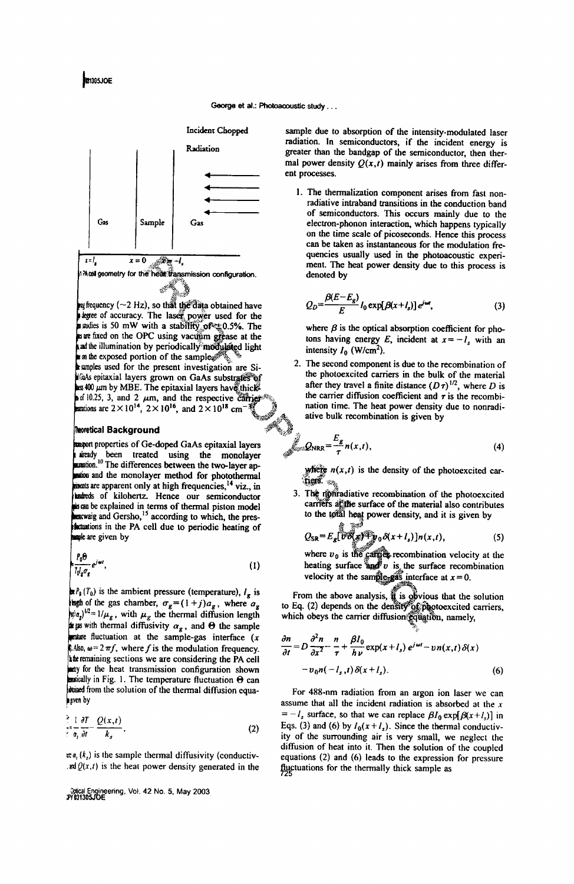ŧ,J



 $m$  frequency ( $\sim$ 2 Hz), so that the data obtained have stegree of accuracy. The laser power used for the stability of #0.5%. The is we fixed on the OPC using vacuum grease at the and the illumination by periodically modulated light re a the exposed portion of the samples samples used for the present investigation are Siflas epitaxial layers grown on GaAs substrates of as 400  $\mu$ m by MBE. The epitaxial layers have thick and 10.25, 3, and 2  $\mu$ m, and the respective carrier<br>mations are  $2 \times 10^{14}$ ,  $2 \times 10^{16}$ , and  $2 \times 10^{18}$  cm<sup>-12</sup>

# **Reoretical Background**

wayort properties of Ge-doped GaAs epitaxial layers a keady been treated using the monolayer<br>manation.<sup>10</sup> The differences between the two-layer apstion and the monolayer method for photothermal ments are apparent only at high frequencies,<sup>14</sup> viz., in stateds of kilohertz. Hence our semiconductor sen be explained in terms of thermal piston model exewaig and Gersho,<sup>15</sup> according to which, the pres**incustions** in the PA cell due to periodic heating of mple are given by

$$
\left[\frac{P_0\Theta}{I_0I_g\sigma_g}e^{j\omega t}\right],\tag{1}
$$

 $\mathbf{R}P_{\mathbf{a}}(T_0)$  is the ambient pressure (temperature),  $I_{\mathbf{g}}$  is algebra of the gas chamber,  $\sigma_g = (1+j)a_g$ , where  $a_g$  $|\psi_{\alpha}^{i}|^{1/2} = 1/\mu_{g}$ , with  $\mu_{g}$  the thermal diffusion length is as with thermal diffusivity  $\alpha_g$ , and  $\Theta$  the sample  $\blacksquare$  mature fluctuation at the sample-gas interface  $(x)$ Also,  $\omega = 2 \pi f$ , where f is the modulation frequency. the remaining sections we are considering the PA cell aty for the heat transmission configuration shown Examples 2.1 The temperature fluctuation  $\Theta$  can stained from the solution of the thermal diffusion equan men by

$$
\frac{\partial^2}{\partial t^2} = \frac{1}{\partial t^2} \frac{\partial T}{\partial t^2} - \frac{Q(x,t)}{k_x},
$$
 (2)

 $\pi a$ ,  $(k_1)$  is the sample thermal diffusivity (conductivand  $Q(x,t)$  is the heat power density generated in the

Oplical Engineering, Vol. 42 No. 5, May 2003<br>#1991305JOE

sample due to absorption of the intensity-modulated laser radiation. In semiconductors, if the incident energy is greater than the bandgap of the semiconductor, then thermal power density  $Q(x,t)$  mainly arises from three different processes.

1. The thermalization component arises from fast nonradiative intraband transitions in the conduction band of semiconductors. This occurs mainly due to the electron-phonon interaction, which happens typically on the time scale of picoseconds. Hence this process can be taken as instantaneous for the modulation frequencies usually used in the photoacoustic experiment. The heat power density due to this process is denoted by

$$
Q_D = \frac{\beta(E - E_g)}{E} I_0 \exp[\beta(x + l_s)] e^{j\omega t}, \qquad (3)
$$

where  $\beta$  is the optical absorption coefficient for photons having energy E, incident at  $x = -l_s$  with an intensity  $I_0$  (W/cm<sup>2</sup>).

2. The second component is due to the recombination of the photoexcited carriers in the bulk of the material after they travel a finite distance  $(D\tau)^{1/2}$ , where D is the carrier diffusion coefficient and  $\tau$  is the recombination time. The heat power density due to nonradiative bulk recombination is given by

$$
\mathcal{Q}_{NRR} = \frac{E_g}{\tau} n(x,t),
$$
 (4)

where  $n(x,t)$  is the density of the photoexcited carnes.

3. The right adiative recombination of the photoexcited carriers af the surface of the material also contributes to the total heat power density, and it is given by

$$
Q_{\rm SR} = E_g \left[ \overline{v \partial_x} \overline{v \partial_y} \partial_x (x + l_s) \right] n(x,t), \tag{5}
$$

where  $v_0$  is the carges recombination velocity at the heating surface and  $v$  is the surface recombination velocity at the sample-gas interface at  $x = 0$ .

From the above analysis,  $\hat{a}$  is obvious that the solution<br>to Eq. (2) depends on the density of photoexcited carriers, which obeys the carrier diffusion gquation, namely,

$$
\frac{\partial n}{\partial t} = D \frac{\partial^2 n}{\partial x^2} - \frac{n}{\tau} + \frac{\beta I_0}{h \nu} \exp(x + I_s) e^{j\omega t} - \nu n(x, t) \delta(x)
$$

$$
- \nu_0 n(-I_s, t) \delta(x + I_s).
$$
(6)

For 488-nm radiation from an argon ion laser we can assume that all the incident radiation is absorbed at the  $x$  $=-l_s$  surface, so that we can replace  $\beta I_0 \exp[\beta(x+l_s)]$  in Eqs. (3) and (6) by  $I_0(x + I_s)$ . Since the thermal conductivity of the surrounding air is very small, we neglect the diffusion of heat into it. Then the solution of the coupled equations (2) and (6) leads to the expression for pressure fluctuations for the thermally thick sample as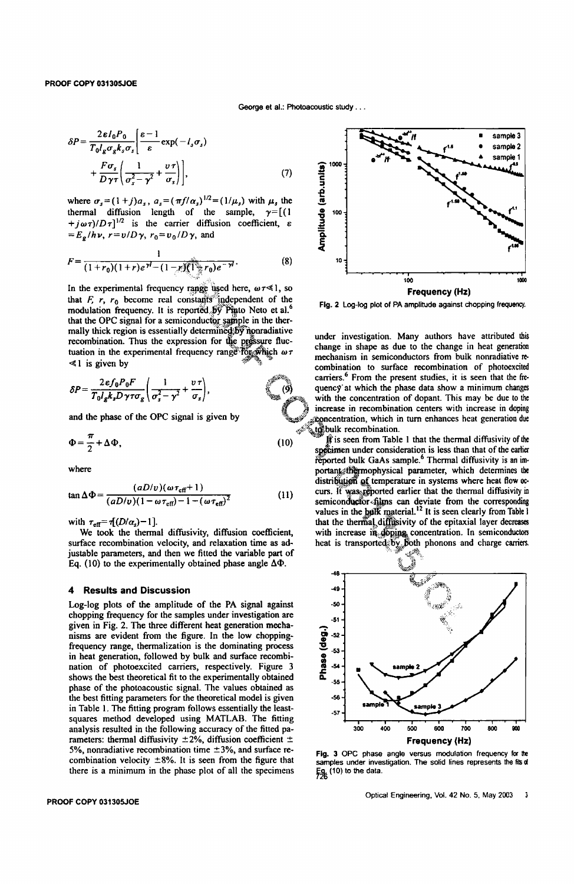$$
\delta P = \frac{2\varepsilon l_0 P_0}{T_0 l_g \sigma_g k_s \sigma_s} \left[ \frac{\varepsilon - 1}{\varepsilon} \exp(-l_s \sigma_s) + \frac{F \sigma_s}{D \gamma \tau} \left( \frac{1}{\sigma_s^2 - \gamma^2} + \frac{v \tau}{\sigma_s} \right) \right],
$$
\n(7)

where  $\sigma_s = (1+j)a_s$ ,  $a_s = (\pi f/\alpha_s)^{1/2} = (1/\mu_s)$  with  $\mu_s$  the thermal diffusion length of the sample,  $\gamma = [(1$  $+j\omega\tau$ / $D\tau$ ]<sup>1/2</sup> is the carrier diffusion coefficient,  $\varepsilon$  $=E_e/h\nu$ ,  $r=v/D\gamma$ ,  $r_0=v_0/D\gamma$ , and

$$
F = \frac{1}{(1+r_0)(1+r)e^{\gamma t} - (1-r)(\sum_{i=1}^{n} r_0)e^{-\gamma t}}.
$$
 (8)

In the experimental frequency range used here,  $\omega \tau \ll 1$ , so that  $F$ ,  $r_0$  become real constants independent of the modulation frequency. It is reported by Pinto Neto et al.<sup>6</sup> that the OPC signal for a semiconductor sample in the thermally thick region is essentially determined by nonradiative recombination. Thus the expression for the pressure fluctuation in the experimental frequency range for which  $\omega \tau$  $\ll$  1 is given by  $\ll$  1 is given by

$$
\delta P = \frac{2 \epsilon f_0 P_0 F}{T_0 l_g k_s D \gamma \tau \sigma_g} \left( \frac{1}{\sigma_s^2 - \gamma^2} + \frac{v \tau}{\sigma_s} \right),
$$

and the phase of the OPC signal is given by

$$
\Phi = \frac{\pi}{2} + \Delta \Phi, \tag{10}
$$

where

$$
\tan \Delta \Phi = \frac{(aD/v)(\omega \tau_{\text{eff}} + 1)}{(aD/v)(1 - \omega \tau_{\text{eff}}) - 1 - (\omega \tau_{\text{eff}})^2}
$$
(11)

with  $\tau_{\text{eff}} = \tau[(D/\alpha_s) - 1]$ .

We took the thermal diffusivity, diffusion coefficient, surface recombination velocity, and relaxation time as adjustable parameters, and then we fitted the variable part of Eq. (10) to the experimentally obtained phase angle  $\Delta\Phi$ .

#### 4 Results and Discussion

Log-log plots of the amplitude of the PA signal against chopping frequency for the samples under investigation are given in Fig. 2. The three different heat generation mechanisms are evident from the figure. In the low choppingfrequency range, thermalization is the dominating process in heat generation, followed by bulk and surface recombination of photoexcited carriers, respectively. Figure 3 shows the best theoretical fit to the experimentally obtained phase of the photoacoustic signal. The values obtained as the best fitting parameters for the theoretical model is given in Table 1. The fitting program follows essentially the leastsquares method developed using MATLAB. The fitting analysis resulted in the following accuracy of the fitted parameters: thermal diffusivity  $\pm 2\%$ , diffusion coefficient  $\pm$ 5%, nonradiative recombination time  $\pm$ 3%, and surface recombination velocity  $\pm 8\%$ . It is seen from the figure that there is a minimum in the phase plot of all the specimens

#### PROOF COPY 03130SJOE



Fig. 2 log-log plot of PA amplitude against chopping frequency.

under investigation. Many authors have attributed this change in shape as due to the change in heat generation mechanism in semiconductors from bulk nonradiative recombination to surface recombination of photoexcited carriers.<sup>6</sup> From the present studies, it is seen that the frequenc9' at which the phase data show a minimum changes with the concentration of dopant. This may be due to the increase in recombination centers with increase in doping represent tration, which in turn enhances heat generation due ulk recombination.<br>It is seen from Table 1 that the thermal diffusivity of the

If is seen from Table 1 that the thermal diffusivity of the specimen under consideration is less than that of the earlier reported bulk GaAs sample.<sup>6</sup> Thermal diffusivity is an important effermoohysical parameter, which spectimen under consideration is less than that of the earlier reported bulk GaAs sample.<sup>6</sup> Thermal diffusivity is an important thermophysical parameter, which determines the distribution of temperature in systems where heat flow occurs. If was reported earlier that the thermal diffusivity in semiconductor~films can deviate from the corresponding values in the hullk material.<sup>12</sup> It is seen clearly from Table I that the thermal diffusivity of the epitaxial layer decreases with increase in doping concentration. In semiconductors heat is transported by Both phonons and charge carriers.



Fig. 3 OPC phase angle versus modulation frequency for the samples under investigation. The solid lines represents the fits of  $F_{\rm 2k}$  (10) to the data.

Optical Engineering, Vol. 42 No. 5, May 2003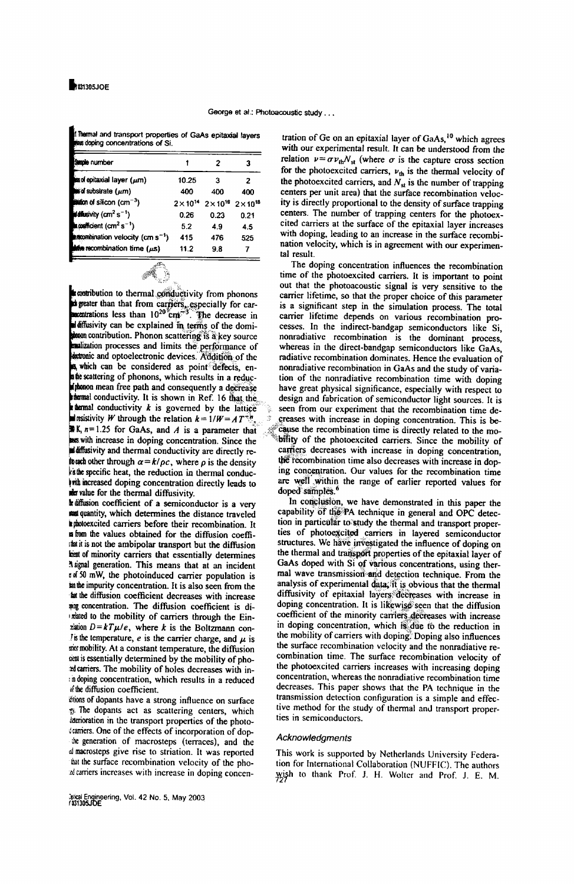|  |                                  | I hemal and transport properties of GaAs epitaxial layers |  |  |
|--|----------------------------------|-----------------------------------------------------------|--|--|
|  | two doping concentrations of Si. |                                                           |  |  |

| <b>Suple number</b>                               |       | 2                                                  | з    |
|---------------------------------------------------|-------|----------------------------------------------------|------|
| msofepitaxial layer (µm)                          | 10.25 | 3                                                  | 2    |
| is of substrate $(\mu m)$                         | 400   | 400                                                | 400  |
| <b>ition of silicon (cm<sup>-3</sup>)</b>         |       | $2\times10^{14}$ $2\times10^{16}$ $2\times10^{18}$ |      |
| <b>Uditesivity (cm<sup>2</sup>s<sup>-1</sup>)</b> | 0.26  | 0.23                                               | 0.21 |
| topofficient (cm <sup>2</sup> s <sup>-1</sup> )   | 5.2   | 4.9                                                | 4.5  |
| mombination velocity (cm s <sup>-1</sup> )        | 415   | 476                                                | 525  |
| <b>take</b> recombination time $(\mu s)$          | 11.2  | 9.8                                                |      |
|                                                   |       |                                                    |      |

contribution to thermal conductivity from phonons<br>degrate than that from carriers, especially for carriers are than  $10^{20}$  cm<sup>-3</sup>. The decrease in diffusivity can be explained in terms of the domi- $\mathbf{R}$  contribution. Phonon scattering is a key source malization processes and limits the performance of detronic and optoelectronic devices. Addition of the a which can be considered as point defects, ensue scattering of phonons, which results in a reducplus soluting of processes.<br> **Submon mean** free path and consequently a decrease stermal conductivity. It is shown in Ref. 16 that the **k** themal conductivity  $k$  is governed by the lattice **If its intervals W** through the relation  $k = 1/W = AT^{-3}$  $\mathbb{R}$  K,  $n=1.25$  for GaAs, and A is a parameter that as with increase in doping concentration. Since the diffusivity and thermal conductivity are directly re**touch** other through  $\alpha = k/\rho c$ , where  $\rho$  is the density ks the specific heat, the reduction in thermal conducwith increased doping concentration directly leads to mer value for the thermal diffusivity.

It diffusion coefficient of a semiconductor is a very man quantity, which determines the distance traveled in photoexcited carriers before their recombination. It in from the values obtained for the diffusion coeffithat it is not the ambipolar transport but the diffusion heat of minority carriers that essentially determines A signal generation. This means that at an incident rof 50 mW, the photoinduced carrier population is as the impurity concentration. It is also seen from the an the diffusion coefficient decreases with increase was concentration. The diffusion coefficient is direlated to the mobility of carriers through the Einrlation  $D = kT\mu/e$ , where k is the Boltzmann con-Its the temperature, e is the carrier charge, and  $\mu$  is mer mobility. At a constant temperature, the diffusion cent is essentially determined by the mobility of phoad carriers. The mobility of holes decreases with inin doping concentration, which results in a reduced of the diffusion coefficient.

thions of dopants have a strong influence on surface w. The dopants act as scattering centers, which interioration in the transport properties of the photodeaniers. One of the effects of incorporation of dopthe generation of macrosteps (terraces), and the al macrosteps give rise to striation. It was reported that the surface recombination velocity of the phoadcarriers increases with increase in doping concen-

3xical Engineering, Vol. 42 No. 5, May 2003<br>1031305JOE

tration of Ge on an epitaxial layer of GaAs,<sup>10</sup> which agrees with our experimental result. It can be understood from the relation  $v = \sigma v_{th} N_{st}$  (where  $\sigma$  is the capture cross section for the photoexcited carriers,  $v_{th}$  is the thermal velocity of the photoexcited carriers, and  $N_{st}$  is the number of trapping centers per unit area) that the surface recombination velocity is directly proportional to the density of surface trapping centers. The number of trapping centers for the photoexcited carriers at the surface of the epitaxial layer increases with doping, leading to an increase in the surface recombination velocity, which is in agreement with our experimental result.

The doping concentration influences the recombination time of the photoexcited carriers. It is important to point out that the photoacoustic signal is very sensitive to the carrier lifetime, so that the proper choice of this parameter is a significant step in the simulation process. The total carrier lifetime depends on various recombination processes. In the indirect-bandgap semiconductors like Si, nonradiative recombination is the dominant process, whereas in the direct-bandgap semiconductors like GaAs. radiative recombination dominates. Hence the evaluation of nonradiative recombination in GaAs and the study of variation of the nonradiative recombination time with doping have great physical significance, especially with respect to design and fabrication of semiconductor light sources. It is seen from our experiment that the recombination time decreases with increase in doping concentration. This is because the recombination time is directly related to the mobility of the photoexcited carriers. Since the mobility of carriers decreases with increase in doping concentration, the recombination time also decreases with increase in doping concentration. Our values for the recombination time are well within the range of earlier reported values for doped samples.

In conclusion, we have demonstrated in this paper the capability of the PA technique in general and OPC detection in particular to study the thermal and transport properties of photoexcited carriers in layered semiconductor structures. We have investigated the influence of doping on the thermal and transport properties of the epitaxial layer of GaAs doped with Si of various concentrations, using thermal wave transmission and detection technique. From the analysis of experimental data, it is obvious that the thermal diffusivity of epitaxial layers decreases with increase in doping concentration. It is likewise seen that the diffusion coefficient of the minority carriers decreases with increase in doping concentration, which is due to the reduction in the mobility of carriers with doping. Doping also influences the surface recombination velocity and the nonradiative recombination time. The surface recombination velocity of the photoexcited carriers increases with increasing doping concentration, whereas the nonradiative recombination time decreases. This paper shows that the PA technique in the transmission detection configuration is a simple and effective method for the study of thermal and transport properties in semiconductors.

# Acknowledaments

This work is supported by Netherlands University Federation for International Collaboration (NUFFIC). The authors wish to thank Prof. J. H. Wolter and Prof. J. E. M.